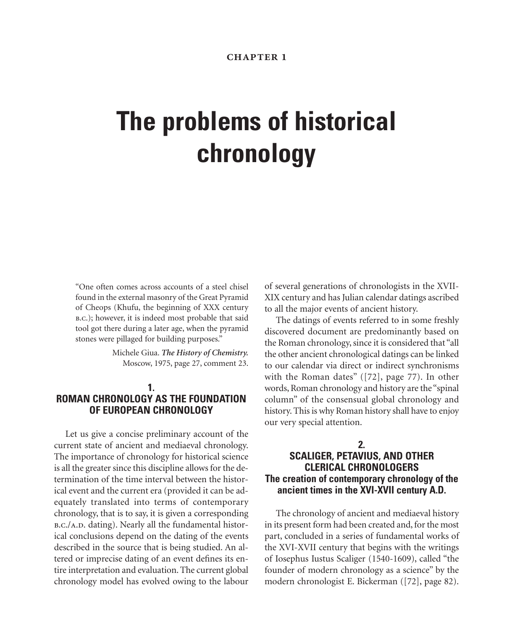# **The problems of historical chronology**

"One often comes across accounts of a steel chisel found in the external masonry of the Great Pyramid of Cheops (Khufu, the beginning of XXX century b.c.); however, it is indeed most probable that said tool got there during a later age, when the pyramid stones were pillaged for building purposes."

> Michele Giua. *The History of Chemistry.* Moscow, 1975, page 27, comment 23.

## **1. ROMAN CHRONOLOGY AS THE FOUNDATION OF EUROPEAN CHRONOLOGY**

Let us give a concise preliminary account of the current state of ancient and mediaeval chronology. The importance of chronology for historical science is all the greater since this discipline allows for the determination of the time interval between the historical event and the current era (provided it can be adequately translated into terms of contemporary chronology, that is to say, it is given a corresponding B.C./A.D. dating). Nearly all the fundamental historical conclusions depend on the dating of the events described in the source that is being studied. An altered or imprecise dating of an event defines its entire interpretation and evaluation. The current global chronology model has evolved owing to the labour of several generations of chronologists in the XVII-XIX century and has Julian calendar datings ascribed to all the major events of ancient history.

The datings of events referred to in some freshly discovered document are predominantly based on the Roman chronology, since it is considered that "all the other ancient chronological datings can be linked to our calendar via direct or indirect synchronisms with the Roman dates" ([72], page 77). In other words, Roman chronology and history are the "spinal column" of the consensual global chronology and history. This is why Roman history shall have to enjoy our very special attention.

# **2. SCALIGER, PETAVIUS, AND OTHER CLERICAL CHRONOLOGERS The creation of contemporary chronology of the ancient times in the XVI-XVII century A.D.**

The chronology of ancient and mediaeval history in its present form had been created and, for the most part, concluded in a series of fundamental works of the XVI-XVII century that begins with the writings of Iosephus Iustus Scaliger (1540-1609), called "the founder of modern chronology as a science" by the modern chronologist E. Bickerman ([72], page 82).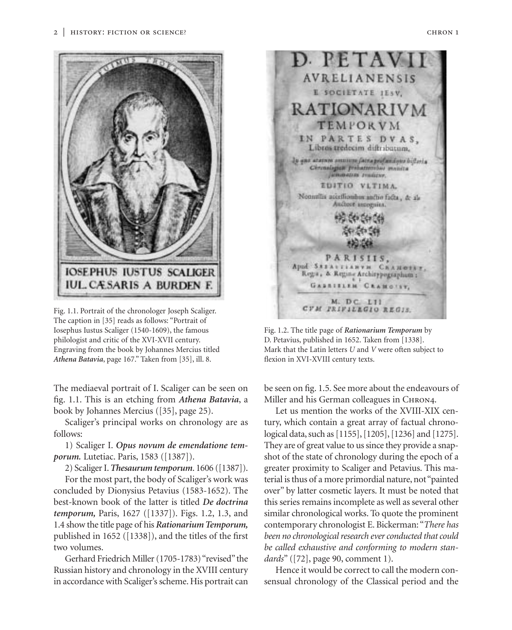

Fig. 1.1. Portrait of the chronologer Joseph Scaliger. The caption in [35] reads as follows: "Portrait of Iosephus Iustus Scaliger (1540-1609), the famous philologist and critic of the XVI-XVII century. Engraving from the book by Johannes Mercius titled *Athena Batavia*, page 167." Taken from [35], ill. 8.

The mediaeval portrait of I. Scaliger can be seen on fig. 1.1. This is an etching from *Athena Batavia*, a book by Johannes Mercius ([35], page 25).

Scaliger's principal works on chronology are as follows:

1) Scaliger I. *Opus novum de emendatione temporum.* Lutetiac. Paris, 1583 ([1387]).

2) Scaliger I.*Thesaurum temporum*. 1606 ([1387]).

For the most part, the body of Scaliger's work was concluded by Dionysius Petavius (1583-1652). The best-known book of the latter is titled *De doctrina temporum,* Paris, 1627 ([1337]). Figs. 1.2, 1.3, and 1.4 show the title page of his *Rationarium Temporum,* published in 1652 ([1338]), and the titles of the first two volumes.

Gerhard Friedrich Miller (1705-1783) "revised" the Russian history and chronology in the XVIII century in accordance with Scaliger's scheme. His portrait can



Fig. 1.2. The title page of *Rationarium Temporum* by D. Petavius, published in 1652. Taken from [1338]. Mark that the Latin letters *U* and *V* were often subject to flexion in XVI-XVIII century texts.

be seen on fig. 1.5. See more about the endeavours of Miller and his German colleagues in CHRON4.

Let us mention the works of the XVIII-XIX century, which contain a great array of factual chronological data, such as [1155], [1205], [1236] and [1275]. They are of great value to us since they provide a snapshot of the state of chronology during the epoch of a greater proximity to Scaliger and Petavius. This material is thus of a more primordial nature, not "painted over" by latter cosmetic layers. It must be noted that this series remains incomplete as well as several other similar chronological works. To quote the prominent contemporary chronologist E. Bickerman: "*There has been no chronological research ever conducted that could be called exhaustive and conforming to modern standards*" ([72], page 90, comment 1).

Hence it would be correct to call the modern consensual chronology of the Classical period and the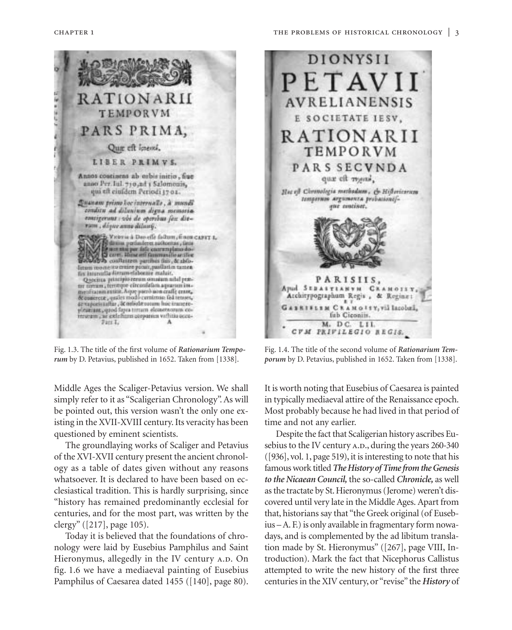

*rum* by D. Petavius, published in 1652. Taken from [1338].

Middle Ages the Scaliger-Petavius version. We shall simply refer to it as "Scaligerian Chronology". As will be pointed out, this version wasn't the only one existing in the XVII-XVIII century. Its veracity has been questioned by eminent scientists.

The groundlaying works of Scaliger and Petavius of the XVI-XVII century present the ancient chronology as a table of dates given without any reasons whatsoever. It is declared to have been based on ecclesiastical tradition. This is hardly surprising, since "history has remained predominantly ecclesial for centuries, and for the most part, was written by the clergy" ([217], page 105).

Today it is believed that the foundations of chronology were laid by Eusebius Pamphilus and Saint Hieronymus, allegedly in the IV century A.D. On fig. 1.6 we have a mediaeval painting of Eusebius Pamphilus of Caesarea dated 1455 ([140], page 80).

*porum* by D. Petavius, published in 1652. Taken from [1338].

It is worth noting that Eusebius of Caesarea is painted in typically mediaeval attire of the Renaissance epoch. Most probably because he had lived in that period of time and not any earlier.

Despite the fact that Scaligerian history ascribes Eusebius to the IV century A.D., during the years 260-340 ([936], vol. 1, page 519), it is interesting to note that his famous work titled *The History of Time from the Genesis to the Nicaean Council,* the so-called *Chronicle,* as well as the tractate by St. Hieronymus (Jerome) weren't discovered until very late in the Middle Ages. Apart from that, historians say that "the Greek original (of Eusebius – A. F.) is only available in fragmentary form nowadays, and is complemented by the ad libitum translation made by St. Hieronymus" ([267], page VIII, Introduction). Mark the fact that Nicephorus Callistus attempted to write the new history of the first three centuries in the XIV century, or "revise" the *History* of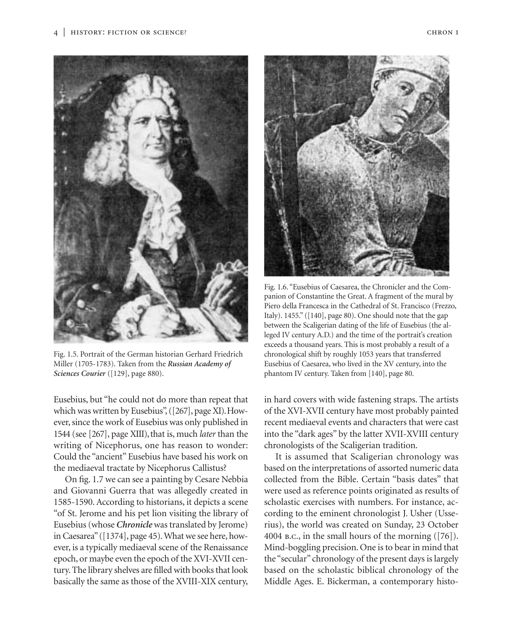



Fig. 1.5. Portrait of the German historian Gerhard Friedrich Miller (1705-1783). Taken from the *Russian Academy of Sciences Courier* ([129], page 880).

Eusebius, but "he could not do more than repeat that which was written by Eusebius", ([267], page XI). However, since the work of Eusebius was only published in 1544 (see [267], page XIII), that is, much *later* than the writing of Nicephorus, one has reason to wonder: Could the "ancient" Eusebius have based his work on the mediaeval tractate by Nicephorus Callistus?

On fig. 1.7 we can see a painting by Cesare Nebbia and Giovanni Guerra that was allegedly created in 1585-1590. According to historians, it depicts a scene "of St. Jerome and his pet lion visiting the library of Eusebius (whose *Chronicle* was translated by Jerome) in Caesarea"([1374], page 45). What we see here, however, is a typically mediaeval scene of the Renaissance epoch, or maybe even the epoch of the XVI-XVII century. The library shelves are filled with books that look basically the same as those of the XVIII-XIX century,



Fig. 1.6. "Eusebius of Caesarea, the Chronicler and the Companion of Constantine the Great. A fragment of the mural by Piero della Francesca in the Cathedral of St. Francisco (Frezzo, Italy). 1455." ([140], page 80). One should note that the gap between the Scaligerian dating of the life of Eusebius (the alleged IV century A.D.) and the time of the portrait's creation exceeds a thousand years. This is most probably a result of a chronological shift by roughly 1053 years that transferred Eusebius of Caesarea, who lived in the XV century, into the phantom IV century. Taken from [140], page 80.

in hard covers with wide fastening straps. The artists of the XVI-XVII century have most probably painted recent mediaeval events and characters that were cast into the "dark ages" by the latter XVII-XVIII century chronologists of the Scaligerian tradition.

It is assumed that Scaligerian chronology was based on the interpretations of assorted numeric data collected from the Bible. Certain "basis dates" that were used as reference points originated as results of scholastic exercises with numbers. For instance, according to the eminent chronologist J. Usher (Usserius), the world was created on Sunday, 23 October 4004 b.c., in the small hours of the morning ([76]). Mind-boggling precision. One is to bear in mind that the "secular" chronology of the present days is largely based on the scholastic biblical chronology of the Middle Ages. E. Bickerman, a contemporary histo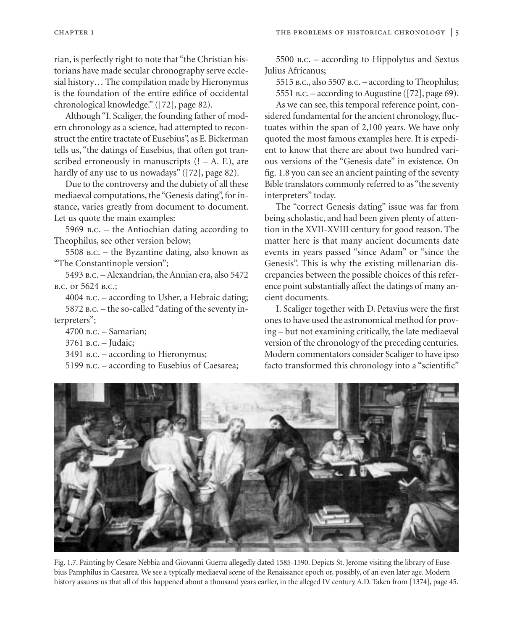rian, is perfectly right to note that "the Christian historians have made secular chronography serve ecclesial history… The compilation made by Hieronymus is the foundation of the entire edifice of occidental chronological knowledge." ([72], page 82).

Although "I. Scaliger, the founding father of modern chronology as a science, had attempted to reconstruct the entire tractate of Eusebius", as E. Bickerman tells us, "the datings of Eusebius, that often got transcribed erroneously in manuscripts  $(1 - A, E)$ , are hardly of any use to us nowadays" ([72], page 82).

Due to the controversy and the dubiety of all these mediaeval computations, the "Genesis dating", for instance, varies greatly from document to document. Let us quote the main examples:

5969 b.c. – the Antiochian dating according to Theophilus, see other version below;

5508 b.c. – the Byzantine dating, also known as "The Constantinople version";

5493 b.c. – Alexandrian, the Annian era, also 5472 b.c. or 5624 b.c.;

4004 b.c. – according to Usher, a Hebraic dating; 5872 b.c. – the so-called "dating of the seventy interpreters";

4700 b.c. – Samarian;

3761 b.c. – Judaic;

- 3491 b.c. according to Hieronymus;
- 5199 b.c. according to Eusebius of Caesarea;

5500 b.c. – according to Hippolytus and Sextus Julius Africanus;

5515 b.c., also 5507 b.c. – according to Theophilus; 5551 b.c. – according to Augustine ([72], page 69).

As we can see, this temporal reference point, considered fundamental for the ancient chronology, fluctuates within the span of 2,100 years. We have only quoted the most famous examples here. It is expedient to know that there are about two hundred various versions of the "Genesis date" in existence. On fig. 1.8 you can see an ancient painting of the seventy Bible translators commonly referred to as "the seventy interpreters" today.

The "correct Genesis dating" issue was far from being scholastic, and had been given plenty of attention in the XVII-XVIII century for good reason. The matter here is that many ancient documents date events in years passed "since Adam" or "since the Genesis". This is why the existing millenarian discrepancies between the possible choices of this reference point substantially affect the datings of many ancient documents.

I. Scaliger together with D. Petavius were the first ones to have used the astronomical method for proving – but not examining critically, the late mediaeval version of the chronology of the preceding centuries. Modern commentators consider Scaliger to have ipso facto transformed this chronology into a "scientific"



Fig. 1.7. Painting by Cesare Nebbia and Giovanni Guerra allegedly dated 1585-1590. Depicts St. Jerome visiting the library of Eusebius Pamphilus in Caesarea. We see a typically mediaeval scene of the Renaissance epoch or, possibly, of an even later age. Modern history assures us that all of this happened about a thousand years earlier, in the alleged IV century A.D. Taken from [1374], page 45.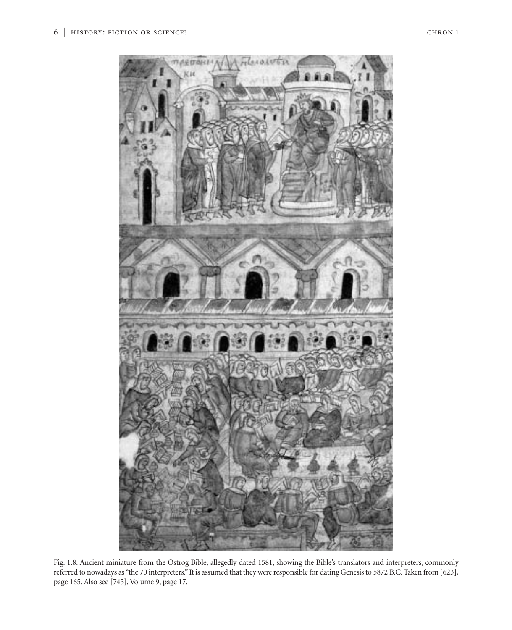

Fig. 1.8. Ancient miniature from the Ostrog Bible, allegedly dated 1581, showing the Bible's translators and interpreters, commonly referred to nowadays as "the 70 interpreters." It is assumed that they were responsible for dating Genesis to 5872 B.C. Taken from [623], page 165. Also see [745], Volume 9, page 17.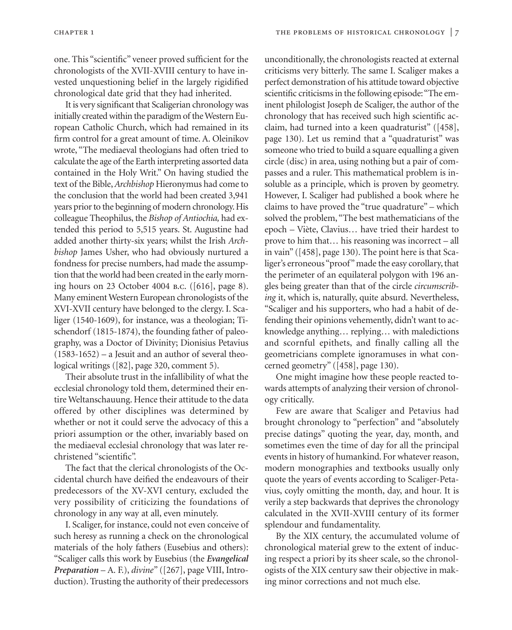one. This "scientific" veneer proved sufficient for the chronologists of the XVII-XVIII century to have invested unquestioning belief in the largely rigidified chronological date grid that they had inherited.

It is very significant that Scaligerian chronology was initially created within the paradigm of the Western European Catholic Church, which had remained in its firm control for a great amount of time. A. Oleinikov wrote, "The mediaeval theologians had often tried to calculate the age of the Earth interpreting assorted data contained in the Holy Writ." On having studied the text of the Bible,*Archbishop* Hieronymus had come to the conclusion that the world had been created 3,941 years prior to the beginning of modern chronology. His colleague Theophilus, the *Bishop of Antiochia,* had extended this period to 5,515 years. St. Augustine had added another thirty-six years; whilst the Irish *Archbishop* James Usher, who had obviously nurtured a fondness for precise numbers, had made the assumption that the world had been created in the early morning hours on 23 October 4004 b.c. ([616], page 8). Many eminent Western European chronologists of the XVI-XVII century have belonged to the clergy. I. Scaliger (1540-1609), for instance, was a theologian; Tischendorf (1815-1874), the founding father of paleography, was a Doctor of Divinity; Dionisius Petavius  $(1583-1652)$  – a Jesuit and an author of several theological writings ([82], page 320, comment 5).

Their absolute trust in the infallibility of what the ecclesial chronology told them, determined their entire Weltanschauung. Hence their attitude to the data offered by other disciplines was determined by whether or not it could serve the advocacy of this a priori assumption or the other, invariably based on the mediaeval ecclesial chronology that was later rechristened "scientific".

The fact that the clerical chronologists of the Occidental church have deified the endeavours of their predecessors of the XV-XVI century, excluded the very possibility of criticizing the foundations of chronology in any way at all, even minutely.

I. Scaliger, for instance, could not even conceive of such heresy as running a check on the chronological materials of the holy fathers (Eusebius and others): "Scaliger calls this work by Eusebius (the *Evangelical Preparation* – A. F.), *divine"* ([267], page VIII, Introduction). Trusting the authority of their predecessors

unconditionally, the chronologists reacted at external criticisms very bitterly. The same I. Scaliger makes a perfect demonstration of his attitude toward objective scientific criticisms in the following episode:"The eminent philologist Joseph de Scaliger, the author of the chronology that has received such high scientific acclaim, had turned into a keen quadraturist" ([458], page 130). Let us remind that a "quadraturist" was someone who tried to build a square equalling a given circle (disc) in area, using nothing but a pair of compasses and a ruler. This mathematical problem is insoluble as a principle, which is proven by geometry. However, I. Scaliger had published a book where he claims to have proved the "true quadrature" – which solved the problem, "The best mathematicians of the epoch – Viète, Clavius… have tried their hardest to prove to him that… his reasoning was incorrect – all in vain" ([458], page 130). The point here is that Scaliger's erroneous "proof" made the easy corollary, that the perimeter of an equilateral polygon with 196 angles being greater than that of the circle *circumscribing* it, which is, naturally, quite absurd. Nevertheless, "Scaliger and his supporters, who had a habit of defending their opinions vehemently, didn't want to acknowledge anything… replying… with maledictions and scornful epithets, and finally calling all the geometricians complete ignoramuses in what concerned geometry" ([458], page 130).

One might imagine how these people reacted towards attempts of analyzing their version of chronology critically.

Few are aware that Scaliger and Petavius had brought chronology to "perfection" and "absolutely precise datings" quoting the year, day, month, and sometimes even the time of day for all the principal events in history of humankind. For whatever reason, modern monographies and textbooks usually only quote the years of events according to Scaliger-Petavius, coyly omitting the month, day, and hour. It is verily a step backwards that deprives the chronology calculated in the XVII-XVIII century of its former splendour and fundamentality.

By the XIX century, the accumulated volume of chronological material grew to the extent of inducing respect a priori by its sheer scale, so the chronologists of the XIX century saw their objective in making minor corrections and not much else.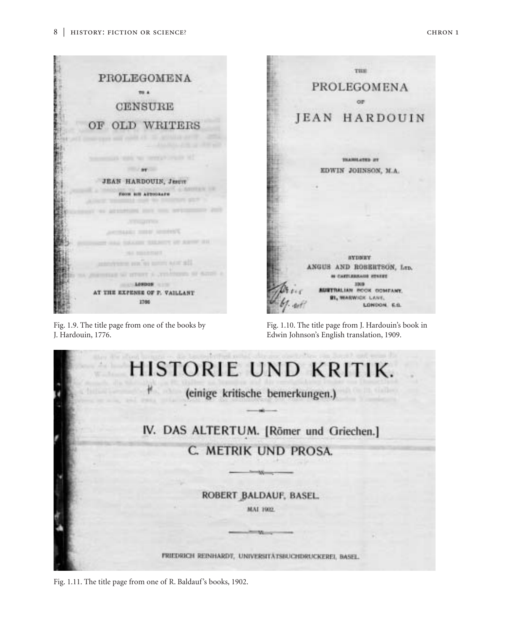

Fig. 1.9. The title page from one of the books by J. Hardouin, 1776.

Fig. 1.10. The title page from J. Hardouin's book in Edwin Johnson's English translation, 1909.



Fig. 1.11. The title page from one of R. Baldauf's books, 1902.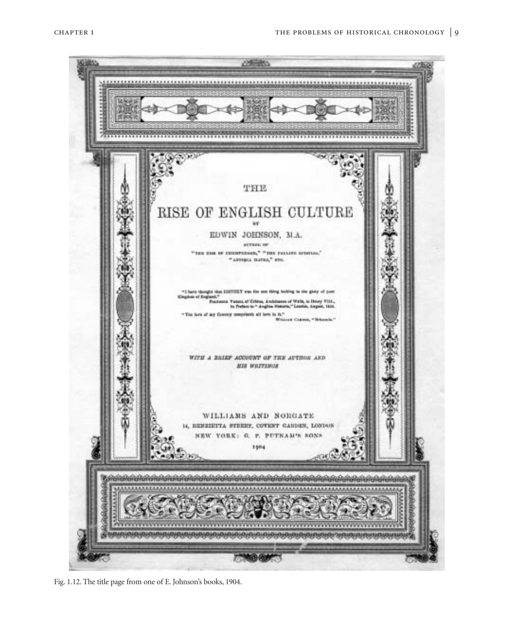

Fig. 1.12. The title page from one of E. Johnson's books, 1904.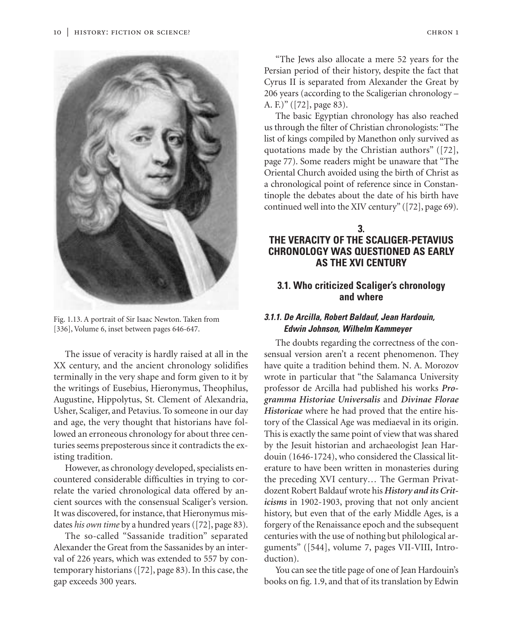

Fig. 1.13. A portrait of Sir Isaac Newton. Taken from [336], Volume 6, inset between pages 646-647.

The issue of veracity is hardly raised at all in the XX century, and the ancient chronology solidifies terminally in the very shape and form given to it by the writings of Eusebius, Hieronymus, Theophilus, Augustine, Hippolytus, St. Clement of Alexandria, Usher, Scaliger, and Petavius. To someone in our day and age, the very thought that historians have followed an erroneous chronology for about three centuries seems preposterous since it contradicts the existing tradition.

However, as chronology developed, specialists encountered considerable difficulties in trying to correlate the varied chronological data offered by ancient sources with the consensual Scaliger's version. It was discovered, for instance, that Hieronymus misdates *his own time* by a hundred years ([72], page 83).

The so-called "Sassanide tradition" separated Alexander the Great from the Sassanides by an interval of 226 years, which was extended to 557 by contemporary historians ([72], page 83). In this case, the gap exceeds 300 years.

"The Jews also allocate a mere 52 years for the Persian period of their history, despite the fact that Cyrus II is separated from Alexander the Great by 206 years (according to the Scaligerian chronology – A. F.)" ([72], page 83).

The basic Egyptian chronology has also reached us through the filter of Christian chronologists: "The list of kings compiled by Manethon only survived as quotations made by the Christian authors" ([72], page 77). Some readers might be unaware that "The Oriental Church avoided using the birth of Christ as a chronological point of reference since in Constantinople the debates about the date of his birth have continued well into the XIV century" ([72], page 69).

# **3. THE VERACITY OF THE SCALIGER-PETAVIUS CHRONOLOGY WAS QUESTIONED AS EARLY AS THE XVI CENTURY**

# **3.1. Who criticized Scaliger's chronology and where**

## *3.1.1. De Arcilla, Robert Baldauf, Jean Hardouin, Edwin Johnson, Wilhelm Kammeyer*

The doubts regarding the correctness of the consensual version aren't a recent phenomenon. They have quite a tradition behind them. N. A. Morozov wrote in particular that "the Salamanca University professor de Arcilla had published his works *Programma Historiae Universalis* and *Divinae Florae Historicae* where he had proved that the entire history of the Classical Age was mediaeval in its origin. This is exactly the same point of view that was shared by the Jesuit historian and archaeologist Jean Hardouin (1646-1724), who considered the Classical literature to have been written in monasteries during the preceding XVI century… The German Privatdozent Robert Baldauf wrote his *History and its Criticisms* in 1902-1903, proving that not only ancient history, but even that of the early Middle Ages, is a forgery of the Renaissance epoch and the subsequent centuries with the use of nothing but philological arguments" ([544], volume 7, pages VII-VIII, Introduction).

You can see the title page of one of Jean Hardouin's books on fig. 1.9, and that of its translation by Edwin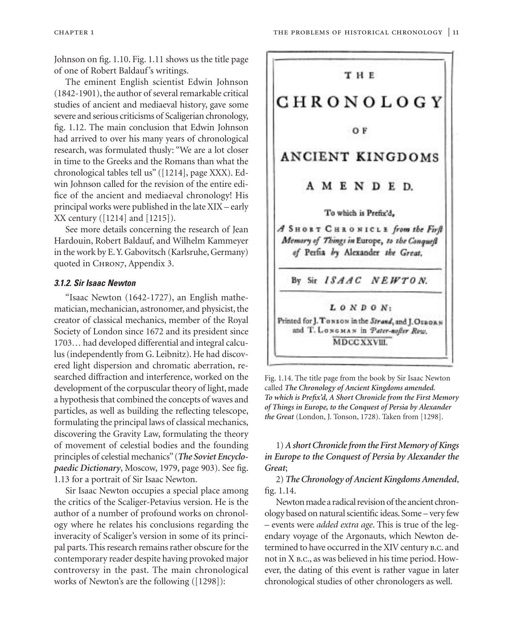Johnson on fig. 1.10. Fig. 1.11 shows us the title page of one of Robert Baldauf's writings.

The eminent English scientist Edwin Johnson (1842-1901), the author of several remarkable critical studies of ancient and mediaeval history, gave some severe and serious criticisms of Scaligerian chronology, fig. 1.12. The main conclusion that Edwin Johnson had arrived to over his many years of chronological research, was formulated thusly: "We are a lot closer in time to the Greeks and the Romans than what the chronological tables tell us" ([1214], page XXX). Edwin Johnson called for the revision of the entire edifice of the ancient and mediaeval chronology! His principal works were published in the late XIX – early XX century ([1214] and [1215]).

See more details concerning the research of Jean Hardouin, Robert Baldauf, and Wilhelm Kammeyer in the work by E.Y. Gabovitsch (Karlsruhe, Germany) quoted in CHRON7, Appendix 3.

#### *3.1.2. Sir Isaac Newton*

"Isaac Newton (1642-1727), an English mathematician, mechanician, astronomer, and physicist, the creator of classical mechanics, member of the Royal Society of London since 1672 and its president since 1703… had developed differential and integral calculus (independently from G. Leibnitz). He had discovered light dispersion and chromatic aberration, researched diffraction and interference, worked on the development of the corpuscular theory of light, made a hypothesis that combined the concepts of waves and particles, as well as building the reflecting telescope, formulating the principal laws of classical mechanics, discovering the Gravity Law, formulating the theory of movement of celestial bodies and the founding principles of celestial mechanics"(*The Soviet Encyclopaedic Dictionary*, Moscow, 1979, page 903). See fig. 1.13 for a portrait of Sir Isaac Newton.

Sir Isaac Newton occupies a special place among the critics of the Scaliger-Petavius version. He is the author of a number of profound works on chronology where he relates his conclusions regarding the inveracity of Scaliger's version in some of its principal parts. This research remains rather obscure for the contemporary reader despite having provoked major controversy in the past. The main chronological works of Newton's are the following ([1298]):



Fig. 1.14. The title page from the book by Sir Isaac Newton called *The Chronology of Ancient Kingdoms amended. To which is Prefix'd, A Short Chronicle from the First Memory of Things in Europe, to the Conquest of Persia by Alexander the Great* (London, J. Tonson, 1728). Taken from [1298].

1) *A short Chronicle from the First Memory of Kings in Europe to the Conquest of Persia by Alexander the Great*;

2) *The Chronology of Ancient Kingdoms Amended*, fig. 1.14.

Newton made a radical revision of the ancient chronology based on natural scientific ideas. Some – very few – events were *added extra age*. This is true of the legendary voyage of the Argonauts, which Newton determined to have occurred in the XIV century b.c. and not in X b.c., as was believed in his time period. However, the dating of this event is rather vague in later chronological studies of other chronologers as well.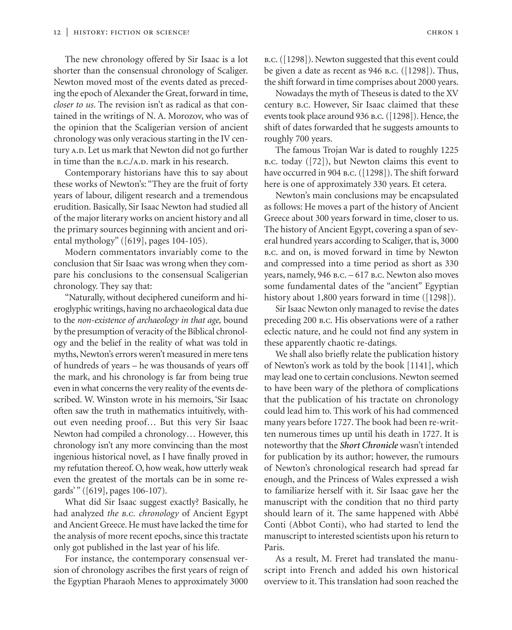The new chronology offered by Sir Isaac is a lot shorter than the consensual chronology of Scaliger. Newton moved most of the events dated as preceding the epoch of Alexander the Great, forward in time, *closer to us*. The revision isn't as radical as that contained in the writings of N. A. Morozov, who was of the opinion that the Scaligerian version of ancient chronology was only veracious starting in the IV century A.D. Let us mark that Newton did not go further in time than the  $B.C./A.D.$  mark in his research.

Contemporary historians have this to say about these works of Newton's: "They are the fruit of forty years of labour, diligent research and a tremendous erudition. Basically, Sir Isaac Newton had studied all of the major literary works on ancient history and all the primary sources beginning with ancient and oriental mythology" ([619], pages 104-105).

Modern commentators invariably come to the conclusion that Sir Isaac was wrong when they compare his conclusions to the consensual Scaligerian chronology. They say that:

"Naturally, without deciphered cuneiform and hieroglyphic writings, having no archaeological data due to the *non-existence of archaeology in that age,* bound by the presumption of veracity of the Biblical chronology and the belief in the reality of what was told in myths, Newton's errors weren't measured in mere tens of hundreds of years – he was thousands of years off the mark, and his chronology is far from being true even in what concerns the very reality of the events described. W. Winston wrote in his memoirs, 'Sir Isaac often saw the truth in mathematics intuitively, without even needing proof… But this very Sir Isaac Newton had compiled a chronology… However, this chronology isn't any more convincing than the most ingenious historical novel, as I have finally proved in my refutation thereof. O, how weak, how utterly weak even the greatest of the mortals can be in some regards'" ([619], pages 106-107).

What did Sir Isaac suggest exactly? Basically, he had analyzed *the b.c. chronology* of Ancient Egypt and Ancient Greece. He must have lacked the time for the analysis of more recent epochs, since this tractate only got published in the last year of his life.

For instance, the contemporary consensual version of chronology ascribes the first years of reign of the Egyptian Pharaoh Menes to approximately 3000 b.c.([1298]). Newton suggested that this event could be given a date as recent as 946 b.c. ([1298]). Thus, the shift forward in time comprises about 2000 years.

Nowadays the myth of Theseus is dated to the XV century b.c. However, Sir Isaac claimed that these events took place around 936 b.c.([1298]). Hence, the shift of dates forwarded that he suggests amounts to roughly 700 years.

The famous Trojan War is dated to roughly 1225 b.c. today ([72]), but Newton claims this event to have occurred in 904 b.c. ([1298]). The shift forward here is one of approximately 330 years. Et cetera.

Newton's main conclusions may be encapsulated as follows: He moves a part of the history of Ancient Greece about 300 years forward in time, closer to us. The history of Ancient Egypt, covering a span of several hundred years according to Scaliger, that is, 3000 b.c. and on, is moved forward in time by Newton and compressed into a time period as short as 330 years, namely, 946 B.C. - 617 B.C. Newton also moves some fundamental dates of the "ancient" Egyptian history about 1,800 years forward in time ([1298]).

Sir Isaac Newton only managed to revise the dates preceding 200 b.c. His observations were of a rather eclectic nature, and he could not find any system in these apparently chaotic re-datings.

We shall also briefly relate the publication history of Newton's work as told by the book [1141], which may lead one to certain conclusions. Newton seemed to have been wary of the plethora of complications that the publication of his tractate on chronology could lead him to. This work of his had commenced many years before 1727. The book had been re-written numerous times up until his death in 1727. It is noteworthy that the *Short Chronicle* wasn't intended for publication by its author; however, the rumours of Newton's chronological research had spread far enough, and the Princess of Wales expressed a wish to familiarize herself with it. Sir Isaac gave her the manuscript with the condition that no third party should learn of it. The same happened with Abbé Conti (Abbot Conti), who had started to lend the manuscript to interested scientists upon his return to Paris.

As a result, M. Freret had translated the manuscript into French and added his own historical overview to it. This translation had soon reached the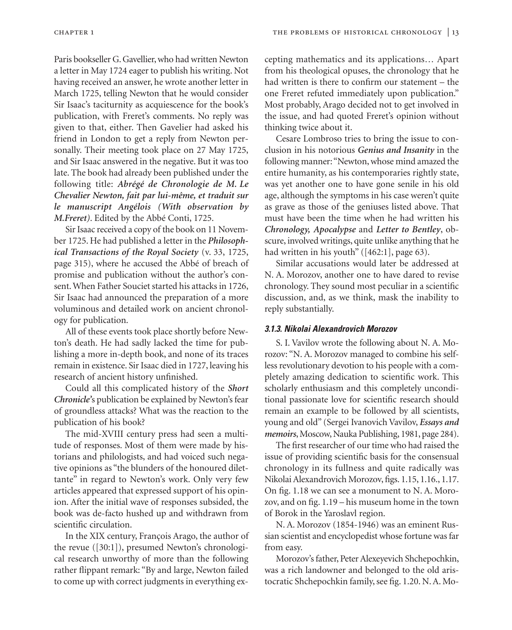Paris bookseller G. Gavellier, who had written Newton a letter in May 1724 eager to publish his writing. Not having received an answer, he wrote another letter in March 1725, telling Newton that he would consider Sir Isaac's taciturnity as acquiescence for the book's publication, with Freret's comments. No reply was given to that, either. Then Gavelier had asked his friend in London to get a reply from Newton personally. Their meeting took place on 27 May 1725, and Sir Isaac answered in the negative. But it was too late. The book had already been published under the following title: *Abrégé de Chronologie de M. Le Chevalier Newton, fait par lui-même, et traduit sur le manuscript Angélois (With observation by M.Freret)*. Edited by the Abbé Conti, 1725.

Sir Isaac received a copy of the book on 11 November 1725. He had published a letter in the *Philosophical Transactions of the Royal Society* (v. 33, 1725, page 315), where he accused the Abbé of breach of promise and publication without the author's consent. When Father Souciet started his attacks in 1726, Sir Isaac had announced the preparation of a more voluminous and detailed work on ancient chronology for publication.

All of these events took place shortly before Newton's death. He had sadly lacked the time for publishing a more in-depth book, and none of its traces remain in existence. Sir Isaac died in 1727, leaving his research of ancient history unfinished.

Could all this complicated history of the *Short Chronicle'*s publication be explained by Newton's fear of groundless attacks? What was the reaction to the publication of his book?

The mid-XVIII century press had seen a multitude of responses. Most of them were made by historians and philologists, and had voiced such negative opinions as "the blunders of the honoured dilettante" in regard to Newton's work. Only very few articles appeared that expressed support of his opinion. After the initial wave of responses subsided, the book was de-facto hushed up and withdrawn from scientific circulation.

In the XIX century, François Arago, the author of the revue ([30:1]), presumed Newton's chronological research unworthy of more than the following rather flippant remark: "By and large, Newton failed to come up with correct judgments in everything excepting mathematics and its applications… Apart from his theological opuses, the chronology that he had written is there to confirm our statement – the one Freret refuted immediately upon publication." Most probably, Arago decided not to get involved in the issue, and had quoted Freret's opinion without thinking twice about it.

Cesare Lombroso tries to bring the issue to conclusion in his notorious *Genius and Insanity* in the following manner:"Newton, whose mind amazed the entire humanity, as his contemporaries rightly state, was yet another one to have gone senile in his old age, although the symptoms in his case weren't quite as grave as those of the geniuses listed above. That must have been the time when he had written his *Chronology, Apocalypse* and *Letter to Bentley*, obscure, involved writings, quite unlike anything that he had written in his youth" ([462:1], page 63).

Similar accusations would later be addressed at N. A. Morozov, another one to have dared to revise chronology. They sound most peculiar in a scientific discussion, and, as we think, mask the inability to reply substantially.

#### *3.1.3. Nikolai Alexandrovich Morozov*

S. I. Vavilov wrote the following about N. A. Morozov: "N. A. Morozov managed to combine his selfless revolutionary devotion to his people with a completely amazing dedication to scientific work. This scholarly enthusiasm and this completely unconditional passionate love for scientific research should remain an example to be followed by all scientists, young and old" (Sergei Ivanovich Vavilov, *Essays and memoirs*, Moscow, Nauka Publishing, 1981, page 284).

The first researcher of our time who had raised the issue of providing scientific basis for the consensual chronology in its fullness and quite radically was Nikolai Alexandrovich Morozov, figs. 1.15, 1.16., 1.17. On fig. 1.18 we can see a monument to N. A. Morozov, and on fig. 1.19 – his museum home in the town of Borok in the Yaroslavl region.

N. A. Morozov (1854-1946) was an eminent Russian scientist and encyclopedist whose fortune was far from easy.

Morozov's father, Peter Alexeyevich Shchepochkin, was a rich landowner and belonged to the old aristocratic Shchepochkin family, see fig. 1.20. N. A. Mo-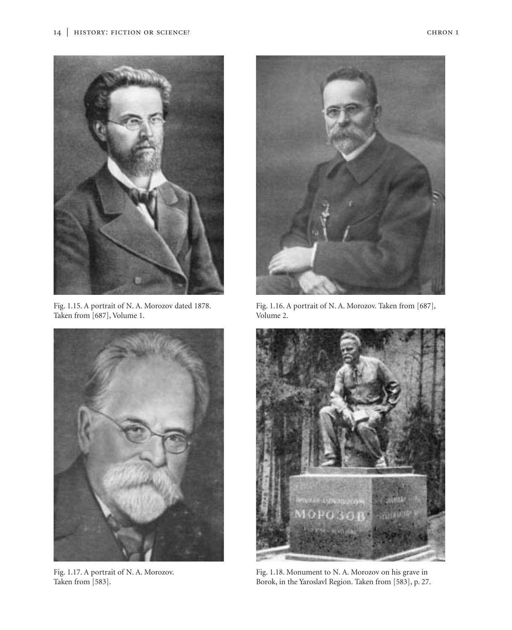

Fig. 1.15. A portrait of N. A. Morozov dated 1878. Taken from [687], Volume 1.



Fig. 1.17. A portrait of N. A. Morozov. Taken from [583].



Fig. 1.16. A portrait of N. A. Morozov. Taken from [687], Volume 2.



Fig. 1.18. Monument to N. A. Morozov on his grave in Borok, in the Yaroslavl Region. Taken from [583], p. 27.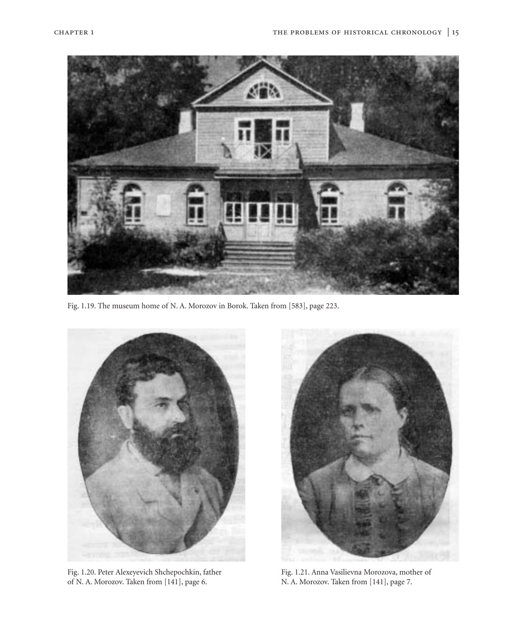

Fig. 1.19. The museum home of N. A. Morozov in Borok. Taken from [583], page 223.



Fig. 1.20. Peter Alexeyevich Shchepochkin, father of N. A. Morozov. Taken from [141], page 6.



Fig. 1.21. Anna Vasilievna Morozova, mother of N. A. Morozov. Taken from [141], page 7.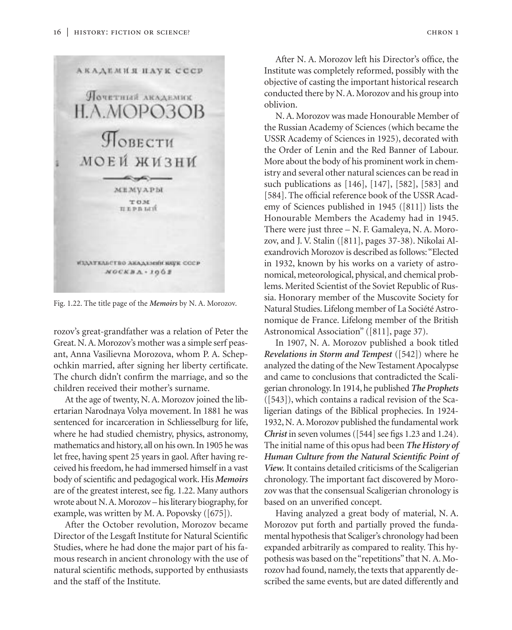

Fig. 1.22. The title page of the *Memoirs* by N. A. Morozov.

rozov's great-grandfather was a relation of Peter the Great. N. A. Morozov's mother was a simple serf peasant, Anna Vasilievna Morozova, whom P. A. Schepochkin married, after signing her liberty certificate. The church didn't confirm the marriage, and so the children received their mother's surname.

At the age of twenty, N. A. Morozov joined the libertarian Narodnaya Volya movement. In 1881 he was sentenced for incarceration in Schliesselburg for life, where he had studied chemistry, physics, astronomy, mathematics and history, all on his own. In 1905 he was let free, having spent 25 years in gaol. After having received his freedom, he had immersed himself in a vast body of scientific and pedagogical work. His *Memoirs* are of the greatest interest, see fig. 1.22. Many authors wrote about N.A. Morozov – his literary biography, for example, was written by M. A. Popovsky ([675]).

After the October revolution, Morozov became Director of the Lesgaft Institute for Natural Scientific Studies, where he had done the major part of his famous research in ancient chronology with the use of natural scientific methods, supported by enthusiasts and the staff of the Institute.

After N. A. Morozov left his Director's office, the Institute was completely reformed, possibly with the objective of casting the important historical research conducted there by N. A. Morozov and his group into oblivion.

N. A. Morozov was made Honourable Member of the Russian Academy of Sciences (which became the USSR Academy of Sciences in 1925), decorated with the Order of Lenin and the Red Banner of Labour. More about the body of his prominent work in chemistry and several other natural sciences can be read in such publications as [146], [147], [582], [583] and [584]. The official reference book of the USSR Academy of Sciences published in 1945 ([811]) lists the Honourable Members the Academy had in 1945. There were just three – N. F. Gamaleya, N. A. Morozov, and J. V. Stalin ([811], pages 37-38). Nikolai Alexandrovich Morozov is described as follows:"Elected in 1932, known by his works on a variety of astronomical, meteorological, physical, and chemical problems. Merited Scientist of the Soviet Republic of Russia. Honorary member of the Muscovite Society for Natural Studies. Lifelong member of La Société Astronomique de France. Lifelong member of the British Astronomical Association" ([811], page 37).

In 1907, N. A. Morozov published a book titled *Revelations in Storm and Tempest* ([542]) where he analyzed the dating of the New Testament Apocalypse and came to conclusions that contradicted the Scaligerian chronology. In 1914, he published *The Prophets* ([543]), which contains a radical revision of the Scaligerian datings of the Biblical prophecies. In 1924- 1932, N. A. Morozov published the fundamental work *Christ* in seven volumes ([544] see figs 1.23 and 1.24). The initial name of this opus had been *The History of Human Culture from the Natural Scientific Point of View.* It contains detailed criticisms of the Scaligerian chronology. The important fact discovered by Morozov was that the consensual Scaligerian chronology is based on an unverified concept.

Having analyzed a great body of material, N. A. Morozov put forth and partially proved the fundamental hypothesis that Scaliger's chronology had been expanded arbitrarily as compared to reality. This hypothesis was based on the "repetitions" that N. A. Morozov had found, namely, the texts that apparently described the same events, but are dated differently and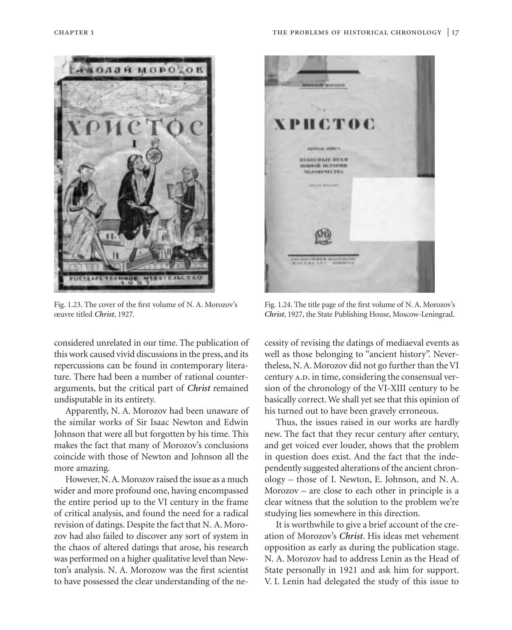

Fig. 1.23. The cover of the first volume of N. A. Morozov's œuvre titled *Christ*, 1927.

considered unrelated in our time. The publication of this work caused vivid discussions in the press, and its repercussions can be found in contemporary literature. There had been a number of rational counterarguments, but the critical part of *Christ* remained undisputable in its entirety.

Apparently, N. A. Morozov had been unaware of the similar works of Sir Isaac Newton and Edwin Johnson that were all but forgotten by his time. This makes the fact that many of Morozov's conclusions coincide with those of Newton and Johnson all the more amazing.

However, N. A. Morozov raised the issue as a much wider and more profound one, having encompassed the entire period up to the VI century in the frame of critical analysis, and found the need for a radical revision of datings. Despite the fact that N. A. Morozov had also failed to discover any sort of system in the chaos of altered datings that arose, his research was performed on a higher qualitative level than Newton's analysis. N. A. Morozow was the first scientist to have possessed the clear understanding of the ne-



Fig. 1.24. The title page of the first volume of N. A. Morozov's *Christ*, 1927, the State Publishing House, Moscow-Leningrad.

cessity of revising the datings of mediaeval events as well as those belonging to "ancient history". Nevertheless, N. A. Morozov did not go further than the VI century A.D. in time, considering the consensual version of the chronology of the VI-XIII century to be basically correct. We shall yet see that this opinion of his turned out to have been gravely erroneous.

Thus, the issues raised in our works are hardly new. The fact that they recur century after century, and get voiced ever louder, shows that the problem in question does exist. And the fact that the independently suggested alterations of the ancient chronology – those of I. Newton, E. Johnson, and N. A. Morozov – are close to each other in principle is a clear witness that the solution to the problem we're studying lies somewhere in this direction.

It is worthwhile to give a brief account of the creation of Morozov's *Christ*. His ideas met vehement opposition as early as during the publication stage. N. A. Morozov had to address Lenin as the Head of State personally in 1921 and ask him for support. V. I. Lenin had delegated the study of this issue to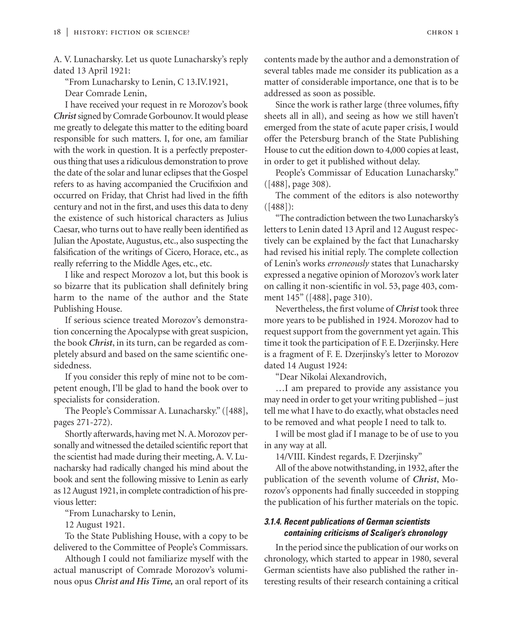A. V. Lunacharsky. Let us quote Lunacharsky's reply dated 13 April 1921:

"From Lunacharsky to Lenin, C 13.IV.1921,

Dear Comrade Lenin,

I have received your request in re Morozov's book *Christ*signed by Comrade Gorbounov. It would please me greatly to delegate this matter to the editing board responsible for such matters. I, for one, am familiar with the work in question. It is a perfectly preposterous thing that uses a ridiculous demonstration to prove the date of the solar and lunar eclipses that the Gospel refers to as having accompanied the Crucifixion and occurred on Friday, that Christ had lived in the fifth century and not in the first, and uses this data to deny the existence of such historical characters as Julius Caesar, who turns out to have really been identified as Julian the Apostate, Augustus, etc., also suspecting the falsification of the writings of Cicero, Horace, etc., as really referring to the Middle Ages, etc., etc.

I like and respect Morozov a lot, but this book is so bizarre that its publication shall definitely bring harm to the name of the author and the State Publishing House.

If serious science treated Morozov's demonstration concerning the Apocalypse with great suspicion, the book *Christ*, in its turn, can be regarded as completely absurd and based on the same scientific onesidedness.

If you consider this reply of mine not to be competent enough, I'll be glad to hand the book over to specialists for consideration.

The People's Commissar A. Lunacharsky." ([488], pages 271-272).

Shortly afterwards, having met N. A. Morozov personally and witnessed the detailed scientific report that the scientist had made during their meeting, A. V. Lunacharsky had radically changed his mind about the book and sent the following missive to Lenin as early as 12 August 1921, in complete contradiction of his previous letter:

"From Lunacharsky to Lenin,

12 August 1921.

To the State Publishing House, with a copy to be delivered to the Committee of People's Commissars.

Although I could not familiarize myself with the actual manuscript of Comrade Morozov's voluminous opus *Christ and His Time,* an oral report of its contents made by the author and a demonstration of several tables made me consider its publication as a matter of considerable importance, one that is to be addressed as soon as possible.

Since the work is rather large (three volumes, fifty sheets all in all), and seeing as how we still haven't emerged from the state of acute paper crisis, I would offer the Petersburg branch of the State Publishing House to cut the edition down to 4,000 copies at least, in order to get it published without delay.

People's Commissar of Education Lunacharsky." ([488], page 308).

The comment of the editors is also noteworthy ([488]):

"The contradiction between the two Lunacharsky's letters to Lenin dated 13 April and 12 August respectively can be explained by the fact that Lunacharsky had revised his initial reply. The complete collection of Lenin's works *erroneously* states that Lunacharsky expressed a negative opinion of Morozov's work later on calling it non-scientific in vol. 53, page 403, comment 145" ([488], page 310).

Nevertheless, the first volume of *Christ* took three more years to be published in 1924. Morozov had to request support from the government yet again. This time it took the participation of F. E. Dzerjinsky. Here is a fragment of F. E. Dzerjinsky's letter to Morozov dated 14 August 1924:

"Dear Nikolai Alexandrovich,

…I am prepared to provide any assistance you may need in order to get your writing published – just tell me what I have to do exactly, what obstacles need to be removed and what people I need to talk to.

I will be most glad if I manage to be of use to you in any way at all.

14/VIII. Kindest regards, F. Dzerjinsky"

All of the above notwithstanding, in 1932, after the publication of the seventh volume of *Christ*, Morozov's opponents had finally succeeded in stopping the publication of his further materials on the topic.

## *3.1.4. Recent publications of German scientists containing criticisms of Scaliger's chronology*

In the period since the publication of our works on chronology, which started to appear in 1980, several German scientists have also published the rather interesting results of their research containing a critical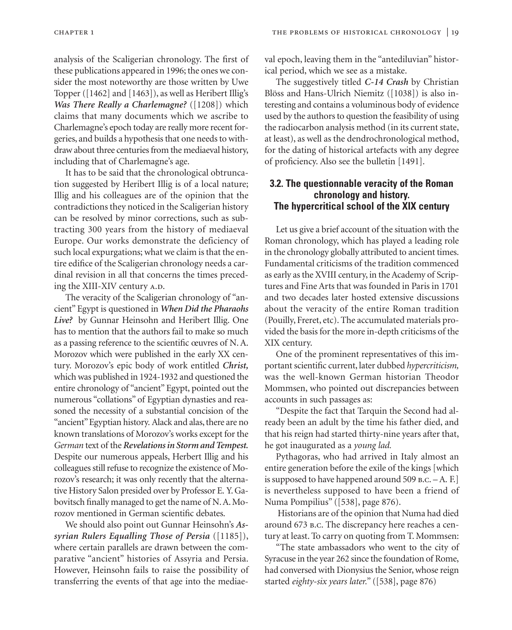analysis of the Scaligerian chronology. The first of these publications appeared in 1996; the ones we consider the most noteworthy are those written by Uwe Topper ([1462] and [1463]), as well as Heribert Illig's *Was There Really a Charlemagne?* ([1208]) which claims that many documents which we ascribe to Charlemagne's epoch today are really more recent forgeries, and builds a hypothesis that one needs to withdraw about three centuries from the mediaeval history, including that of Charlemagne's age.

It has to be said that the chronological obtruncation suggested by Heribert Illig is of a local nature; Illig and his colleagues are of the opinion that the contradictions they noticed in the Scaligerian history can be resolved by minor corrections, such as subtracting 300 years from the history of mediaeval Europe. Our works demonstrate the deficiency of such local expurgations; what we claim is that the entire edifice of the Scaligerian chronology needs a cardinal revision in all that concerns the times preceding the XIII-XIV century A.D.

The veracity of the Scaligerian chronology of "ancient" Egypt is questioned in *When Did the Pharaohs Live?* by Gunnar Heinsohn and Heribert Illig. One has to mention that the authors fail to make so much as a passing reference to the scientific œuvres of N. A. Morozov which were published in the early XX century. Morozov's epic body of work entitled *Christ,* which was published in 1924-1932 and questioned the entire chronology of "ancient" Egypt, pointed out the numerous "collations" of Egyptian dynasties and reasoned the necessity of a substantial concision of the "ancient"Egyptian history. Alack and alas, there are no known translations of Morozov's works except for the *German* text of the *Revelations in Storm and Tempest.* Despite our numerous appeals, Herbert Illig and his colleagues still refuse to recognize the existence of Morozov's research; it was only recently that the alternative History Salon presided over by Professor E. Y. Gabovitsch finally managed to get the name of N. A. Morozov mentioned in German scientific debates.

We should also point out Gunnar Heinsohn's *Assyrian Rulers Equalling Those of Persia* ([1185]), where certain parallels are drawn between the comparative "ancient" histories of Assyria and Persia. However, Heinsohn fails to raise the possibility of transferring the events of that age into the mediaeval epoch, leaving them in the "antediluvian" historical period, which we see as a mistake.

The suggestively titled *C-14 Crash* by Christian Blöss and Hans-Ulrich Niemitz ([1038]) is also interesting and contains a voluminous body of evidence used by the authors to question the feasibility of using the radiocarbon analysis method (in its current state, at least), as well as the dendrochronological method, for the dating of historical artefacts with any degree of proficiency. Also see the bulletin [1491].

## **3.2. The questionnable veracity of the Roman chronology and history. The hypercritical school of the XIX century**

Let us give a brief account of the situation with the Roman chronology, which has played a leading role in the chronology globally attributed to ancient times. Fundamental criticisms of the tradition commenced as early as the XVIII century, in the Academy of Scriptures and Fine Arts that was founded in Paris in 1701 and two decades later hosted extensive discussions about the veracity of the entire Roman tradition (Pouilly, Freret, etc). The accumulated materials provided the basis for the more in-depth criticisms of the XIX century.

One of the prominent representatives of this important scientific current, later dubbed *hypercriticism,* was the well-known German historian Theodor Mommsen, who pointed out discrepancies between accounts in such passages as:

"Despite the fact that Tarquin the Second had already been an adult by the time his father died, and that his reign had started thirty-nine years after that, he got inaugurated as a *young lad.*

Pythagoras, who had arrived in Italy almost an entire generation before the exile of the kings [which is supposed to have happened around 509 b.c. – A. F.] is nevertheless supposed to have been a friend of Numa Pompilius" ([538], page 876).

Historians are of the opinion that Numa had died around 673 b.c. The discrepancy here reaches a century at least. To carry on quoting from T. Mommsen:

"The state ambassadors who went to the city of Syracuse in the year 262 since the foundation of Rome, had conversed with Dionysius the Senior, whose reign started *eighty-six years later."* ([538], page 876)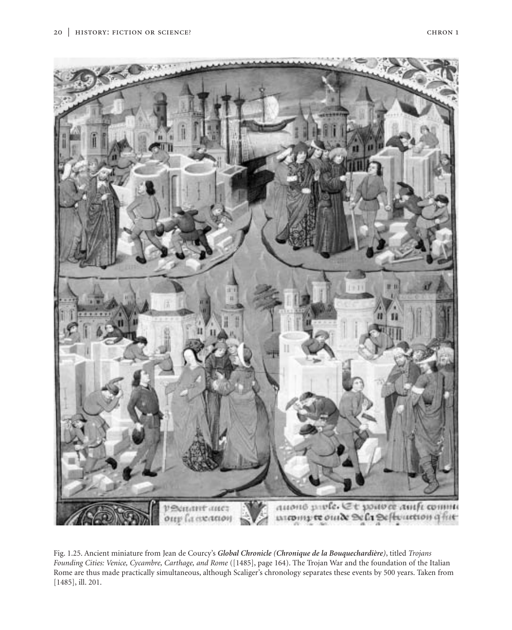



Fig. 1.25. Ancient miniature from Jean de Courcy's *Global Chronicle (Chronique de la Bouquechardière)*, titled *Trojans Founding Cities: Venice, Cycambre, Carthage, and Rome* ([1485], page 164). The Trojan War and the foundation of the Italian Rome are thus made practically simultaneous, although Scaliger's chronology separates these events by 500 years. Taken from [1485], ill. 201.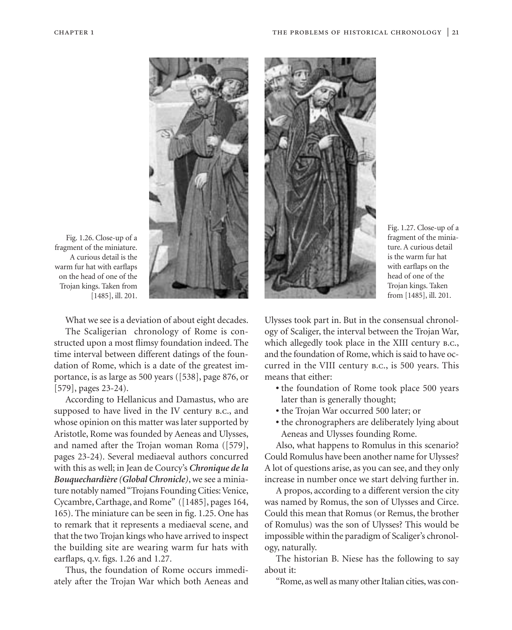

Fig. 1.26. Close-up of a fragment of the miniature. A curious detail is the warm fur hat with earflaps on the head of one of the Trojan kings. Taken from [1485], ill. 201.

What we see is a deviation of about eight decades.

The Scaligerian chronology of Rome is constructed upon a most flimsy foundation indeed. The time interval between different datings of the foundation of Rome, which is a date of the greatest importance, is as large as 500 years ([538], page 876, or [579], pages 23-24).

According to Hellanicus and Damastus, who are supposed to have lived in the IV century b.c., and whose opinion on this matter was later supported by Aristotle, Rome was founded by Aeneas and Ulysses, and named after the Trojan woman Roma ([579], pages 23-24). Several mediaeval authors concurred with this as well; in Jean de Courcy's *Chronique de la Bouquechardière (Global Chronicle)*, we see a miniature notably named "Trojans Founding Cities: Venice, Cycambre, Carthage, and Rome" ([1485], pages 164, 165). The miniature can be seen in fig. 1.25. One has to remark that it represents a mediaeval scene, and that the two Trojan kings who have arrived to inspect the building site are wearing warm fur hats with earflaps, q.v. figs. 1.26 and 1.27.

Thus, the foundation of Rome occurs immediately after the Trojan War which both Aeneas and



Fig. 1.27. Close-up of a fragment of the miniature. A curious detail is the warm fur hat with earflaps on the head of one of the Trojan kings. Taken from [1485], ill. 201.

Ulysses took part in. But in the consensual chronology of Scaliger, the interval between the Trojan War, which allegedly took place in the XIII century B.C., and the foundation of Rome, which is said to have occurred in the VIII century b.c., is 500 years. This means that either:

- **•** the foundation of Rome took place 500 years later than is generally thought;
- **•** the Trojan War occurred 500 later; or
- **•** the chronographers are deliberately lying about Aeneas and Ulysses founding Rome.

Also, what happens to Romulus in this scenario? Could Romulus have been another name for Ulysses? A lot of questions arise, as you can see, and they only increase in number once we start delving further in.

A propos, according to a different version the city was named by Romus, the son of Ulysses and Circe. Could this mean that Romus (or Remus, the brother of Romulus) was the son of Ulysses? This would be impossible within the paradigm of Scaliger's chronology, naturally.

The historian B. Niese has the following to say about it:

"Rome, as well as many other Italian cities, was con-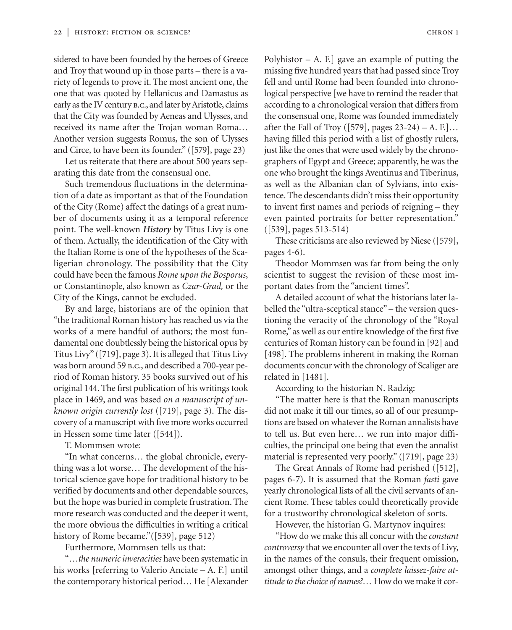sidered to have been founded by the heroes of Greece and Troy that wound up in those parts – there is a variety of legends to prove it. The most ancient one, the one that was quoted by Hellanicus and Damastus as early as the IV century b.c., and later by Aristotle, claims that the City was founded by Aeneas and Ulysses, and received its name after the Trojan woman Roma… Another version suggests Romus, the son of Ulysses and Circe, to have been its founder." ([579], page 23)

Let us reiterate that there are about 500 years separating this date from the consensual one.

Such tremendous fluctuations in the determination of a date as important as that of the Foundation of the City (Rome) affect the datings of a great number of documents using it as a temporal reference point. The well-known *History* by Titus Livy is one of them. Actually, the identification of the City with the Italian Rome is one of the hypotheses of the Scaligerian chronology. The possibility that the City could have been the famous *Rome upon the Bosporus*, or Constantinople, also known as *Czar-Grad,* or the City of the Kings, cannot be excluded.

By and large, historians are of the opinion that "the traditional Roman history has reached us via the works of a mere handful of authors; the most fundamental one doubtlessly being the historical opus by Titus Livy" ([719], page 3). It is alleged that Titus Livy was born around 59 b.c., and described a 700-year period of Roman history. 35 books survived out of his original 144. The first publication of his writings took place in 1469, and was based *on a manuscript of unknown origin currently lost* ([719], page 3). The discovery of a manuscript with five more works occurred in Hessen some time later ([544]).

T. Mommsen wrote:

"In what concerns… the global chronicle, everything was a lot worse… The development of the historical science gave hope for traditional history to be verified by documents and other dependable sources, but the hope was buried in complete frustration. The more research was conducted and the deeper it went, the more obvious the difficulties in writing a critical history of Rome became." ([539], page 512)

Furthermore, Mommsen tells us that:

"…*the numeric inveracities* have been systematic in his works [referring to Valerio Anciate – A. F.] until the contemporary historical period… He [Alexander Polyhistor  $-$  A. F.] gave an example of putting the missing five hundred years that had passed since Troy fell and until Rome had been founded into chronological perspective [we have to remind the reader that according to a chronological version that differs from the consensual one, Rome was founded immediately after the Fall of Troy ([579], pages  $23-24$ ) – A. F.]... having filled this period with a list of ghostly rulers, just like the ones that were used widely by the chronographers of Egypt and Greece; apparently, he was the one who brought the kings Aventinus and Tiberinus, as well as the Albanian clan of Sylvians, into existence. The descendants didn't miss their opportunity to invent first names and periods of reigning – they even painted portraits for better representation." ([539], pages 513-514)

These criticisms are also reviewed by Niese ([579], pages 4-6).

Theodor Mommsen was far from being the only scientist to suggest the revision of these most important dates from the "ancient times".

A detailed account of what the historians later labelled the "ultra-sceptical stance" – the version questioning the veracity of the chronology of the "Royal Rome," as well as our entire knowledge of the first five centuries of Roman history can be found in [92] and [498]. The problems inherent in making the Roman documents concur with the chronology of Scaliger are related in [1481].

According to the historian N. Radzig:

"The matter here is that the Roman manuscripts did not make it till our times, so all of our presumptions are based on whatever the Roman annalists have to tell us. But even here… we run into major difficulties, the principal one being that even the annalist material is represented very poorly." ([719], page 23)

The Great Annals of Rome had perished ([512], pages 6-7). It is assumed that the Roman *fasti* gave yearly chronological lists of all the civil servants of ancient Rome. These tables could theoretically provide for a trustworthy chronological skeleton of sorts.

However, the historian G. Martynov inquires:

"How do we make this all concur with the *constant controversy* that we encounter all over the texts of Livy, in the names of the consuls, their frequent omission, amongst other things, and a *complete laissez-faire attitude to the choice of names?…* How do we make it cor-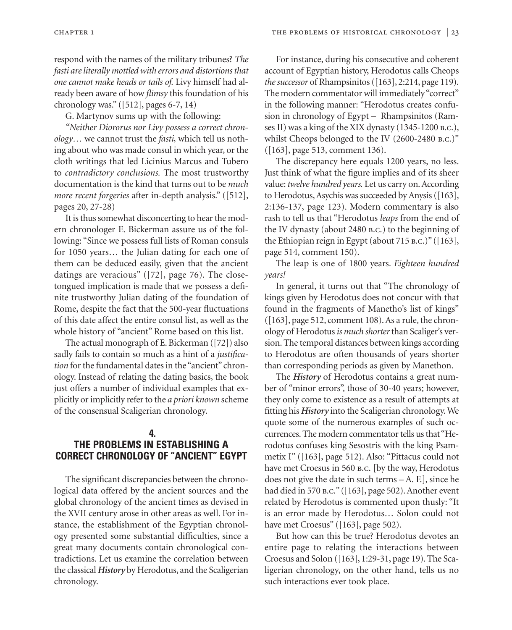respond with the names of the military tribunes? *The fasti are literally mottled with errors and distortions that one cannot make heads or tails of.* Livy himself had already been aware of how *flimsy* this foundation of his chronology was." ([512], pages 6-7, 14)

G. Martynov sums up with the following:

*"Neither Diororus nor Livy possess a correct chronology…* we cannot trust the *fasti,* which tell us nothing about who was made consul in which year, or the cloth writings that led Licinius Marcus and Tubero to *contradictory conclusions.* The most trustworthy documentation is the kind that turns out to be *much more recent forgeries* after in-depth analysis." ([512], pages 20, 27-28)

It is thus somewhat disconcerting to hear the modern chronologer E. Bickerman assure us of the following: "Since we possess full lists of Roman consuls for 1050 years… the Julian dating for each one of them can be deduced easily, given that the ancient datings are veracious" ([72], page 76). The closetongued implication is made that we possess a definite trustworthy Julian dating of the foundation of Rome, despite the fact that the 500-year fluctuations of this date affect the entire consul list, as well as the whole history of "ancient" Rome based on this list.

The actual monograph of E. Bickerman ([72]) also sadly fails to contain so much as a hint of a *justification* for the fundamental dates in the "ancient" chronology. Instead of relating the dating basics, the book just offers a number of individual examples that explicitly or implicitly refer to the *a priori known* scheme of the consensual Scaligerian chronology.

## **4. THE PROBLEMS IN ESTABLISHING A CORRECT CHRONOLOGY OF "ANCIENT" EGYPT**

The significant discrepancies between the chronological data offered by the ancient sources and the global chronology of the ancient times as devised in the XVII century arose in other areas as well. For instance, the establishment of the Egyptian chronology presented some substantial difficulties, since a great many documents contain chronological contradictions. Let us examine the correlation between the classical *History* by Herodotus, and the Scaligerian chronology.

For instance, during his consecutive and coherent account of Egyptian history, Herodotus calls Cheops *the successor* of Rhampsinitos ([163], 2:214, page 119). The modern commentator will immediately "correct" in the following manner: "Herodotus creates confusion in chronology of Egypt – Rhampsinitos (Ramses II) was a king of the XIX dynasty (1345-1200 b.c.), whilst Cheops belonged to the IV (2600-2480 b.c.)" ([163], page 513, comment 136).

The discrepancy here equals 1200 years, no less. Just think of what the figure implies and of its sheer value: *twelve hundred years.* Let us carry on. According to Herodotus, Asychis was succeeded by Anysis ([163], 2:136-137, page 123). Modern commentary is also rash to tell us that "Herodotus *leaps* from the end of the IV dynasty (about 2480 b.c.) to the beginning of the Ethiopian reign in Egypt (about 715 b.c.)" ([163], page 514, comment 150).

The leap is one of 1800 years. *Eighteen hundred years!* 

In general, it turns out that "The chronology of kings given by Herodotus does not concur with that found in the fragments of Manetho's list of kings" ([163], page 512, comment 108). As a rule, the chronology of Herodotus *is much shorter* than Scaliger's version. The temporal distances between kings according to Herodotus are often thousands of years shorter than corresponding periods as given by Manethon.

The *History* of Herodotus contains a great number of "minor errors", those of 30-40 years; however, they only come to existence as a result of attempts at fitting his *History* into the Scaligerian chronology. We quote some of the numerous examples of such occurrences. The modern commentator tells us that "Herodotus confuses king Sesostris with the king Psammetix I" ([163], page 512). Also: "Pittacus could not have met Croesus in 560 b.c. [by the way, Herodotus does not give the date in such terms – A. F.], since he had died in 570 B.C." ([163], page 502). Another event related by Herodotus is commented upon thusly: "It is an error made by Herodotus… Solon could not have met Croesus" ([163], page 502).

But how can this be true? Herodotus devotes an entire page to relating the interactions between Croesus and Solon ([163], 1:29-31, page 19). The Scaligerian chronology, on the other hand, tells us no such interactions ever took place.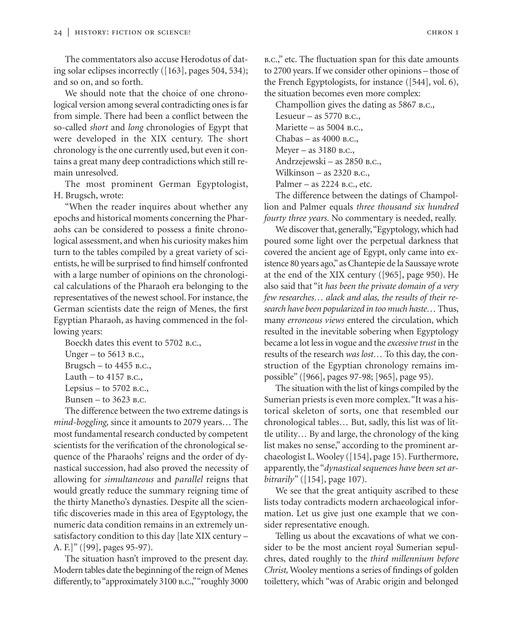The commentators also accuse Herodotus of dating solar eclipses incorrectly ([163], pages 504, 534); and so on, and so forth.

We should note that the choice of one chronological version among several contradicting ones is far from simple. There had been a conflict between the so-called *short* and *long* chronologies of Egypt that were developed in the XIX century. The short chronology is the one currently used, but even it contains a great many deep contradictions which still remain unresolved.

The most prominent German Egyptologist, H. Brugsch, wrote:

"When the reader inquires about whether any epochs and historical moments concerning the Pharaohs can be considered to possess a finite chronological assessment, and when his curiosity makes him turn to the tables compiled by a great variety of scientists, he will be surprised to find himself confronted with a large number of opinions on the chronological calculations of the Pharaoh era belonging to the representatives of the newest school. For instance, the German scientists date the reign of Menes, the first Egyptian Pharaoh, as having commenced in the following years:

Boeckh dates this event to 5702 B.C., Unger – to 5613 b.c., Brugsch – to  $4455$  B.C., Lauth – to  $4157$  B.C., Lepsius – to  $5702$  B.C.,

Bunsen – to 3623 b.c.

The difference between the two extreme datings is *mind-boggling,* since it amounts to 2079 years… The most fundamental research conducted by competent scientists for the verification of the chronological sequence of the Pharaohs' reigns and the order of dynastical succession, had also proved the necessity of allowing for *simultaneous* and *parallel* reigns that would greatly reduce the summary reigning time of the thirty Manetho's dynasties. Despite all the scientific discoveries made in this area of Egyptology, the numeric data condition remains in an extremely unsatisfactory condition to this day [late XIX century – A. F.]" ([99], pages 95-97).

The situation hasn't improved to the present day. Modern tables date the beginning of the reign of Menes differently, to "approximately 3100 b.c.,""roughly 3000 b.c.," etc. The fluctuation span for this date amounts to 2700 years. If we consider other opinions – those of the French Egyptologists, for instance ([544], vol. 6), the situation becomes even more complex:

Champollion gives the dating as 5867 B.C., Lesueur – as 5770 b.c., Mariette – as 5004 B.C., Chabas – as 4000 b.c., Meyer – as 3180 b.c., Andrzejewski – as 2850 b.c., Wilkinson – as 2320 B.C., Palmer – as 2224 b.c., etc.

The difference between the datings of Champollion and Palmer equals *three thousand six hundred fourty three years.* No commentary is needed, really.

We discover that, generally,"Egyptology, which had poured some light over the perpetual darkness that covered the ancient age of Egypt, only came into existence 80 years ago,"as Chantepie de la Saussaye wrote at the end of the XIX century ([965], page 950). He also said that "it *has been the private domain of a very few researches… alack and alas, the results of their research have been popularized in too much haste…* Thus, many *erroneous views* entered the circulation, which resulted in the inevitable sobering when Egyptology became a lot less in vogue and the *excessive trust* in the results of the research *was lost…* To this day, the construction of the Egyptian chronology remains impossible" ([966], pages 97-98; [965], page 95).

The situation with the list of kings compiled by the Sumerian priests is even more complex."It was a historical skeleton of sorts, one that resembled our chronological tables… But, sadly, this list was of little utility… By and large, the chronology of the king list makes no sense," according to the prominent archaeologist L. Wooley ([154], page 15). Furthermore, apparently, the "*dynastical sequences have been set arbitrarily"* ([154], page 107).

We see that the great antiquity ascribed to these lists today contradicts modern archaeological information. Let us give just one example that we consider representative enough.

Telling us about the excavations of what we consider to be the most ancient royal Sumerian sepulchres, dated roughly to the *third millennium before Christ,* Wooley mentions a series of findings of golden toilettery, which "was of Arabic origin and belonged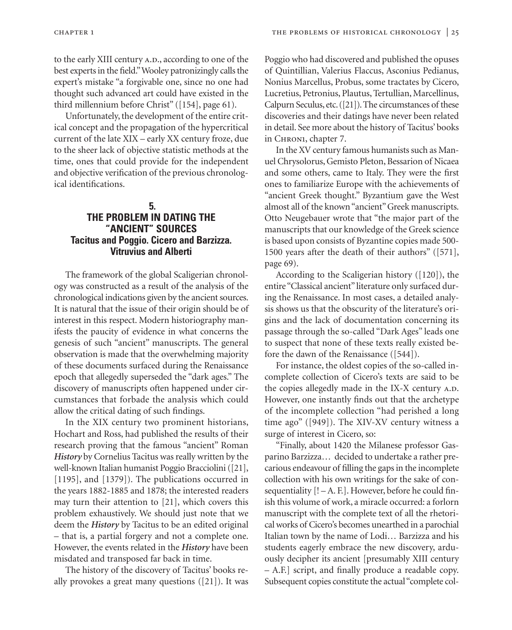to the early XIII century A.D., according to one of the best experts in the field."Wooley patronizingly calls the expert's mistake "a forgivable one, since no one had thought such advanced art could have existed in the third millennium before Christ" ([154], page 61).

Unfortunately, the development of the entire critical concept and the propagation of the hypercritical current of the late XIX – early XX century froze, due to the sheer lack of objective statistic methods at the time, ones that could provide for the independent and objective verification of the previous chronological identifications.

# **5. THE PROBLEM IN DATING THE "ANCIENT" SOURCES Tacitus and Poggio. Cicero and Barzizza. Vitruvius and Alberti**

The framework of the global Scaligerian chronology was constructed as a result of the analysis of the chronological indications given by the ancient sources. It is natural that the issue of their origin should be of interest in this respect. Modern historiography manifests the paucity of evidence in what concerns the genesis of such "ancient" manuscripts. The general observation is made that the overwhelming majority of these documents surfaced during the Renaissance epoch that allegedly superseded the "dark ages." The discovery of manuscripts often happened under circumstances that forbade the analysis which could allow the critical dating of such findings.

In the XIX century two prominent historians, Hochart and Ross, had published the results of their research proving that the famous "ancient" Roman *History* by Cornelius Tacitus was really written by the well-known Italian humanist Poggio Bracciolini ([21], [1195], and [1379]). The publications occurred in the years 1882-1885 and 1878; the interested readers may turn their attention to [21], which covers this problem exhaustively. We should just note that we deem the *History* by Tacitus to be an edited original – that is, a partial forgery and not a complete one. However, the events related in the *History* have been misdated and transposed far back in time.

The history of the discovery of Tacitus' books really provokes a great many questions ([21]). It was Poggio who had discovered and published the opuses of Quintillian, Valerius Flaccus, Asconius Pedianus, Nonius Marcellus, Probus, some tractates by Cicero, Lucretius, Petronius, Plautus, Tertullian, Marcellinus, Calpurn Seculus, etc.([21]). The circumstances of these discoveries and their datings have never been related in detail. See more about the history of Tacitus' books in Chron1, chapter 7.

In the XV century famous humanists such as Manuel Chrysolorus, Gemisto Pleton, Bessarion of Nicaea and some others, came to Italy. They were the first ones to familiarize Europe with the achievements of "ancient Greek thought." Byzantium gave the West almost all of the known "ancient" Greek manuscripts. Otto Neugebauer wrote that "the major part of the manuscripts that our knowledge of the Greek science is based upon consists of Byzantine copies made 500- 1500 years after the death of their authors" ([571], page 69).

According to the Scaligerian history ([120]), the entire "Classical ancient" literature only surfaced during the Renaissance. In most cases, a detailed analysis shows us that the obscurity of the literature's origins and the lack of documentation concerning its passage through the so-called "Dark Ages" leads one to suspect that none of these texts really existed before the dawn of the Renaissance ([544]).

For instance, the oldest copies of the so-called incomplete collection of Cicero's texts are said to be the copies allegedly made in the IX-X century A.D. However, one instantly finds out that the archetype of the incomplete collection "had perished a long time ago" ([949]). The XIV-XV century witness a surge of interest in Cicero, so:

"Finally, about 1420 the Milanese professor Gasparino Barzizza… decided to undertake a rather precarious endeavour of filling the gaps in the incomplete collection with his own writings for the sake of consequentiality [! – A. F.]. However, before he could finish this volume of work, a miracle occurred: a forlorn manuscript with the complete text of all the rhetorical works of Cicero's becomes unearthed in a parochial Italian town by the name of Lodi… Barzizza and his students eagerly embrace the new discovery, arduously decipher its ancient [presumably XIII century – A.F.] script, and finally produce a readable copy. Subsequent copies constitute the actual "complete col-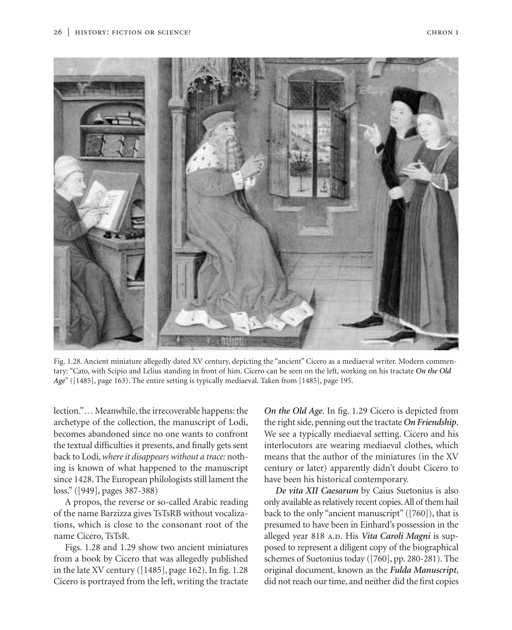

Fig. 1.28. Ancient miniature allegedly dated XV century, depicting the "ancient" Cicero as a mediaeval writer. Modern commentary: "Cato, with Scipio and Lelius standing in front of him. Cicero can be seen on the left, working on his tractate *On the Old Age*" ([1485], page 163). The entire setting is typically mediaeval. Taken from [1485], page 195.

lection."… Meanwhile, the irrecoverable happens: the archetype of the collection, the manuscript of Lodi, becomes abandoned since no one wants to confront the textual difficulties it presents, and finally gets sent back to Lodi,*where it disappears without a trace:* nothing is known of what happened to the manuscript since 1428. The European philologists still lament the loss." ([949], pages 387-388)

A propos, the reverse or so-called Arabic reading of the name Barzizza gives TsTsRB without vocalizations, which is close to the consonant root of the name Cicero, TsTsR.

Figs. 1.28 and 1.29 show two ancient miniatures from a book by Cicero that was allegedly published in the late XV century ([1485], page 162). In fig. 1.28 Cicero is portrayed from the left, writing the tractate

*On the Old Age*. In fig. 1.29 Cicero is depicted from the right side, penning out the tractate *On Friendship*. We see a typically mediaeval setting. Cicero and his interlocutors are wearing mediaeval clothes, which means that the author of the miniatures (in the XV century or later) apparently didn't doubt Cicero to have been his historical contemporary.

*De vita XII Caesarum* by Caius Suetonius is also only available as relatively recent copies.All of them hail back to the only "ancient manuscript" ([760]), that is presumed to have been in Einhard's possession in the alleged year 818 A.D. His Vita Caroli Magni is supposed to represent a diligent copy of the biographical schemes of Suetonius today ([760], pp. 280-281). The original document, known as the *Fulda Manuscript*, did not reach our time, and neither did the first copies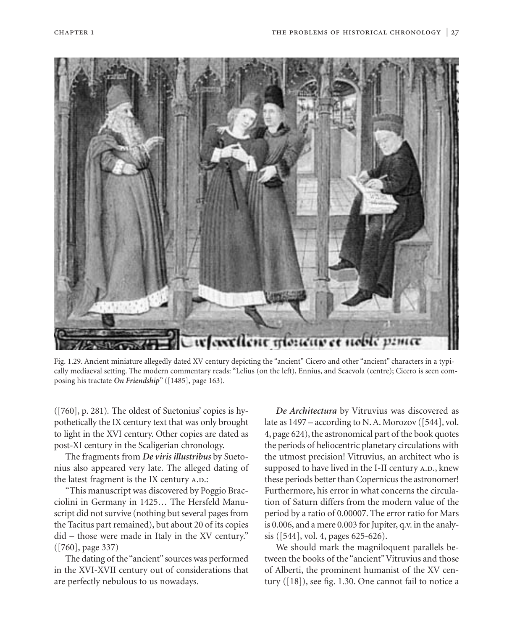

Fig. 1.29. Ancient miniature allegedly dated XV century depicting the "ancient" Cicero and other "ancient" characters in a typically mediaeval setting. The modern commentary reads: "Lelius (on the left), Ennius, and Scaevola (centre); Cicero is seen composing his tractate *On Friendship*" ([1485], page 163).

([760], p. 281)*.* The oldest of Suetonius' copies is hypothetically the IX century text that was only brought to light in the XVI century. Other copies are dated as post-XI century in the Scaligerian chronology.

The fragments from *De viris illustribus* by Suetonius also appeared very late. The alleged dating of the latest fragment is the IX century A.D.:

"This manuscript was discovered by Poggio Bracciolini in Germany in 1425… The Hersfeld Manuscript did not survive (nothing but several pages from the Tacitus part remained), but about 20 of its copies did – those were made in Italy in the XV century." ([760], page 337)

The dating of the "ancient" sources was performed in the XVI-XVII century out of considerations that are perfectly nebulous to us nowadays.

*De Architectura* by Vitruvius was discovered as late as 1497 – according to N. A. Morozov ([544], vol. 4, page 624), the astronomical part of the book quotes the periods of heliocentric planetary circulations with the utmost precision! Vitruvius, an architect who is supposed to have lived in the I-II century A.D., knew these periods better than Copernicus the astronomer! Furthermore, his error in what concerns the circulation of Saturn differs from the modern value of the period by a ratio of 0.00007. The error ratio for Mars is 0.006, and a mere 0.003 for Jupiter, q.v. in the analysis ([544], vol. 4, pages 625-626).

We should mark the magniloquent parallels between the books of the "ancient" Vitruvius and those of Alberti, the prominent humanist of the XV century ([18]), see fig. 1.30. One cannot fail to notice a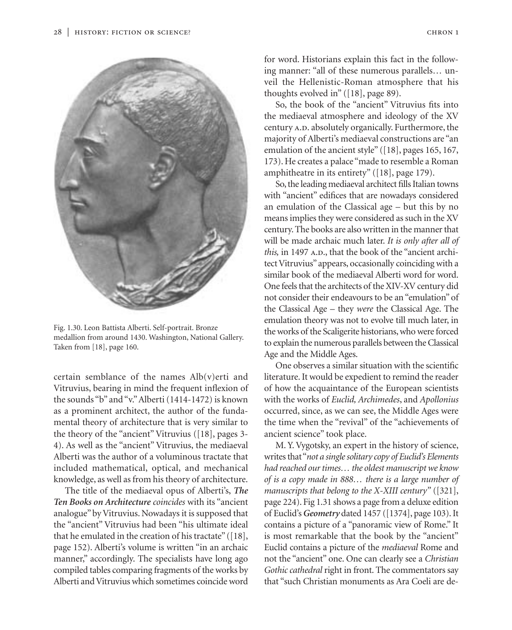

Fig. 1.30. Leon Battista Alberti. Self-portrait. Bronze medallion from around 1430. Washington, National Gallery. Taken from [18], page 160.

certain semblance of the names Alb(v)erti and Vitruvius, bearing in mind the frequent inflexion of the sounds "b" and "v."Alberti (1414-1472) is known as a prominent architect, the author of the fundamental theory of architecture that is very similar to the theory of the "ancient" Vitruvius ([18], pages 3- 4). As well as the "ancient" Vitruvius, the mediaeval Alberti was the author of a voluminous tractate that included mathematical, optical, and mechanical knowledge, as well as from his theory of architecture.

The title of the mediaeval opus of Alberti's, *The Ten Books on Architecture coincides* with its "ancient analogue" by Vitruvius. Nowadays it is supposed that the "ancient" Vitruvius had been "his ultimate ideal that he emulated in the creation of his tractate" ([18], page 152). Alberti's volume is written "in an archaic manner," accordingly. The specialists have long ago compiled tables comparing fragments of the works by Alberti and Vitruvius which sometimes coincide word

for word. Historians explain this fact in the following manner: "all of these numerous parallels… unveil the Hellenistic-Roman atmosphere that his thoughts evolved in" ([18], page 89).

So, the book of the "ancient" Vitruvius fits into the mediaeval atmosphere and ideology of the XV century A.D. absolutely organically. Furthermore, the majority of Alberti's mediaeval constructions are "an emulation of the ancient style" ([18], pages 165, 167, 173). He creates a palace "made to resemble a Roman amphitheatre in its entirety" ([18], page 179).

So, the leading mediaeval architect fills Italian towns with "ancient" edifices that are nowadays considered an emulation of the Classical age – but this by no means implies they were considered as such in the XV century. The books are also written in the manner that will be made archaic much later. *It is only after all of* this, in 1497 A.D., that the book of the "ancient architect Vitruvius" appears, occasionally coinciding with a similar book of the mediaeval Alberti word for word. One feels that the architects of the XIV-XV century did not consider their endeavours to be an "emulation" of the Classical Age – they *were* the Classical Age. The emulation theory was not to evolve till much later, in the works of the Scaligerite historians, who were forced to explain the numerous parallels between the Classical Age and the Middle Ages.

One observes a similar situation with the scientific literature. It would be expedient to remind the reader of how the acquaintance of the European scientists with the works of *Euclid, Archimedes*, and *Apollonius* occurred, since, as we can see, the Middle Ages were the time when the "revival" of the "achievements of ancient science" took place.

M. Y. Vygotsky, an expert in the history of science, writes that "*not a single solitary copy of Euclid's Elements had reached our times… the oldest manuscript we know of is a copy made in 888… there is a large number of manuscripts that belong to the X-XIII century"* ([321], page 224). Fig 1.31 shows a page from a deluxe edition of Euclid's *Geometry* dated 1457 ([1374], page 103). It contains a picture of a "panoramic view of Rome." It is most remarkable that the book by the "ancient" Euclid contains a picture of the *mediaeval* Rome and not the "ancient" one. One can clearly see a *Christian Gothic cathedral* right in front. The commentators say that "such Christian monuments as Ara Coeli are de-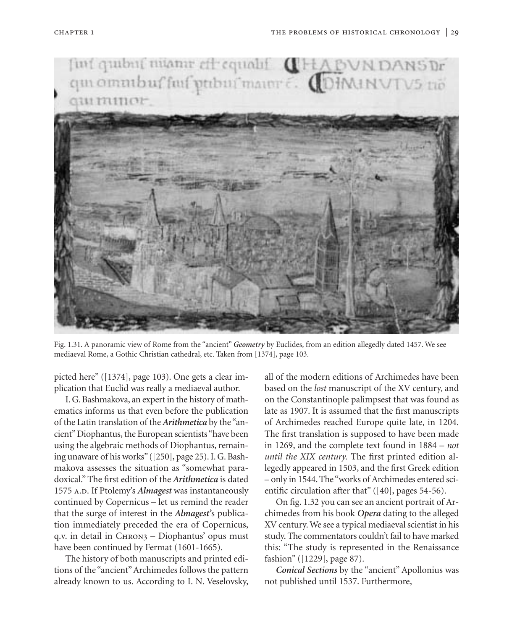

Fig. 1.31. A panoramic view of Rome from the "ancient" *Geometry* by Euclides, from an edition allegedly dated 1457. We see mediaeval Rome, a Gothic Christian cathedral, etc. Taken from [1374], page 103.

picted here" ([1374], page 103). One gets a clear implication that Euclid was really a mediaeval author.

I. G. Bashmakova, an expert in the history of mathematics informs us that even before the publication of the Latin translation of the *Arithmetica* by the "ancient" Diophantus, the European scientists "have been using the algebraic methods of Diophantus, remaining unaware of his works" ([250], page 25). I. G. Bashmakova assesses the situation as "somewhat paradoxical." The first edition of the *Arithmetica* is dated 1575 A.D. If Ptolemy's *Almagest* was instantaneously continued by Copernicus – let us remind the reader that the surge of interest in the *Almagest'*s publication immediately preceded the era of Copernicus, q.v. in detail in Chron3 – Diophantus' opus must have been continued by Fermat (1601-1665).

The history of both manuscripts and printed editions of the "ancient"Archimedes follows the pattern already known to us. According to I. N. Veselovsky, all of the modern editions of Archimedes have been based on the *lost* manuscript of the XV century, and on the Constantinople palimpsest that was found as late as 1907. It is assumed that the first manuscripts of Archimedes reached Europe quite late, in 1204. The first translation is supposed to have been made in 1269, and the complete text found in 1884 – *not until the XIX century.* The first printed edition allegedly appeared in 1503, and the first Greek edition – only in 1544. The "works of Archimedes entered scientific circulation after that" ([40], pages 54-56).

On fig. 1.32 you can see an ancient portrait of Archimedes from his book *Opera* dating to the alleged XV century. We see a typical mediaeval scientist in his study. The commentators couldn't fail to have marked this: "The study is represented in the Renaissance fashion" ([1229], page 87).

*Conical Sections* by the "ancient" Apollonius was not published until 1537. Furthermore,